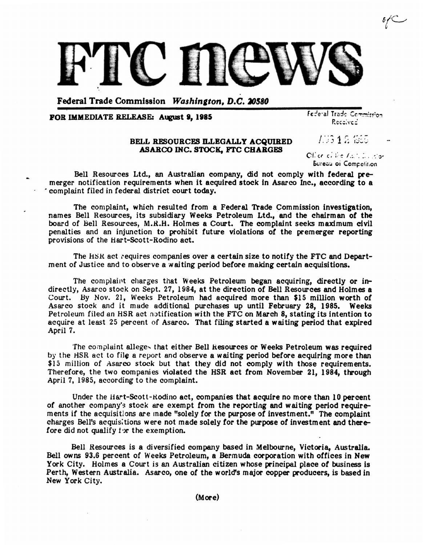

Federal Trade Commission *Washington, D.C. 20580* 

## POR IMMEDIATE RELEASE: August 9, 1985

Federal Trade Commission Received

706 1 2 1855

## BELL RESOURCES ILLEGALLY ACQUIRED ABARCO INC. STOCK, FTC CHARGES

cr" c; ~ I, . '. :. , *... .* j.

Bureau oi Competition

Bell Resources Ltd., an Australian company, did not comply with federal premerger notification requirements when it acquired stock in Asarco Inc., according to a . complaint filed in federal district court today.

The complaint, which resulted from a Federal Trade Commission investigation, names Bell Resources, its subsidiary Weeks Petroleum Ltd., and the chairman of the board of Bell Resources, M.R.H. Holmes a Court. The complaint seeks maximum civil penalties and an injunction to prohibit future violations of the premerger reporting provisions of the Hart-Scott-Rodino act.

The HSR act requires companies over a certain size to notify the FTC and Department of Justice and to observe a waiting period before making certain acquisitions.

The complaint charges that Weeks Petroleum began acquiring, directly or indirectly, Asarco stock on Sept. 27, 1984, at the direction of Bell Resources and Holmes a Court. By Nov. 21, Weeks Petroleum had acquired more than \$15 million worth of Asarco stock and it made additional purchases up until February 28, 1985. Weeks Petroleum filed an HSR act notification with the FTC on March 8, stating its intention to acquire at least 25 percent of Asarco. That filing started a waiting period that expired April 7.

The complaint alleges that either Bell Resources or Weeks Petroleum was required by the HSR act to file a report and observe a waiting period before acquiring more than \$15 million of Asarco stock but that they did not comply with those requirements. Therefore, the two companies violated the HSR act from November 21, 1984, through April 7, 1985, according to the complaint.

Under the Hart-Scott-Rodino act, companies that acquire no more than 10 percent of another company's stock are exempt from the reporting and waiting period requirements if the acquisitions are made "solely for the purpose of investment." The complaint charges Bell's acquisitions were not made solely for the purpose of investment and therefore did not qualify tor the exemption.

Bell Resources is a diversified company based in Melbourne, Victoria, Australia. Bell owns 93.6 percent of Weeks Petroleum, a Bermuda corporation with offices in New York City. Holmes a Court is an Australian citizen whose principal place of business is Perth, Western Australia. Asarco, one of the world's major copper producers, is based in New York City.